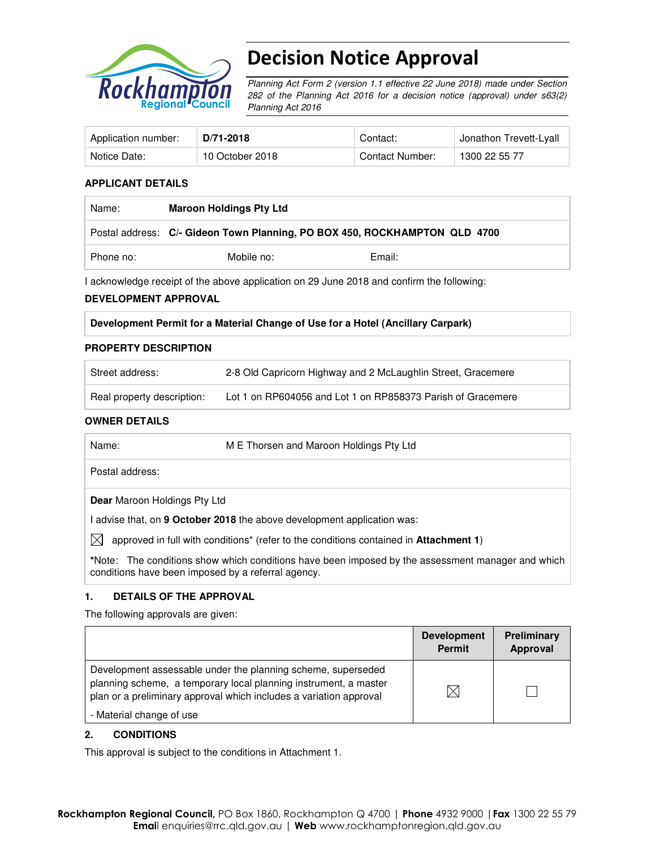

# Decision Notice Approval

Planning Act Form 2 (version 1.1 effective 22 June 2018) made under Section 282 of the Planning Act 2016 for a decision notice (approval) under s63(2) Planning Act 2016

| Application number: | D/71-2018       | Contact:        | Jonathon Trevett-Lyall |
|---------------------|-----------------|-----------------|------------------------|
| Notice Date:        | 10 October 2018 | Contact Number: | 1300 22 55 77          |

#### **APPLICANT DETAILS**

| Name:     | <b>Maroon Holdings Pty Ltd</b>                                             |        |  |
|-----------|----------------------------------------------------------------------------|--------|--|
|           | Postal address: C/- Gideon Town Planning, PO BOX 450, ROCKHAMPTON QLD 4700 |        |  |
| Phone no: | Mobile no:                                                                 | Email: |  |

I acknowledge receipt of the above application on 29 June 2018 and confirm the following:

#### **DEVELOPMENT APPROVAL**

| Development Permit for a Material Change of Use for a Hotel (Ancillary Carpark) |  |  |  |
|---------------------------------------------------------------------------------|--|--|--|
|                                                                                 |  |  |  |

#### **PROPERTY DESCRIPTION**

| Street address:            | 2-8 Old Capricorn Highway and 2 McLaughlin Street, Gracemere |
|----------------------------|--------------------------------------------------------------|
| Real property description: | Lot 1 on RP604056 and Lot 1 on RP858373 Parish of Gracemere  |

#### **OWNER DETAILS**

| Name:                               | M E Thorsen and Maroon Holdings Pty Ltd                                                                   |  |  |
|-------------------------------------|-----------------------------------------------------------------------------------------------------------|--|--|
| Postal address:                     |                                                                                                           |  |  |
| <b>Dear</b> Maroon Holdings Pty Ltd |                                                                                                           |  |  |
|                                     | advise that, on 9 October 2018 the above development application was:                                     |  |  |
| IXI                                 | approved in full with conditions <sup>*</sup> (refer to the conditions contained in <b>Attachment 1</b> ) |  |  |

**\***Note:The conditions show which conditions have been imposed by the assessment manager and which conditions have been imposed by a referral agency.

#### **1. DETAILS OF THE APPROVAL**

The following approvals are given:

|                                                                                                                                                                                                        | <b>Development</b><br><b>Permit</b> | Preliminary<br><b>Approval</b> |
|--------------------------------------------------------------------------------------------------------------------------------------------------------------------------------------------------------|-------------------------------------|--------------------------------|
| Development assessable under the planning scheme, superseded<br>planning scheme, a temporary local planning instrument, a master<br>plan or a preliminary approval which includes a variation approval | M                                   |                                |
| - Material change of use                                                                                                                                                                               |                                     |                                |

#### **2. CONDITIONS**

This approval is subject to the conditions in Attachment 1.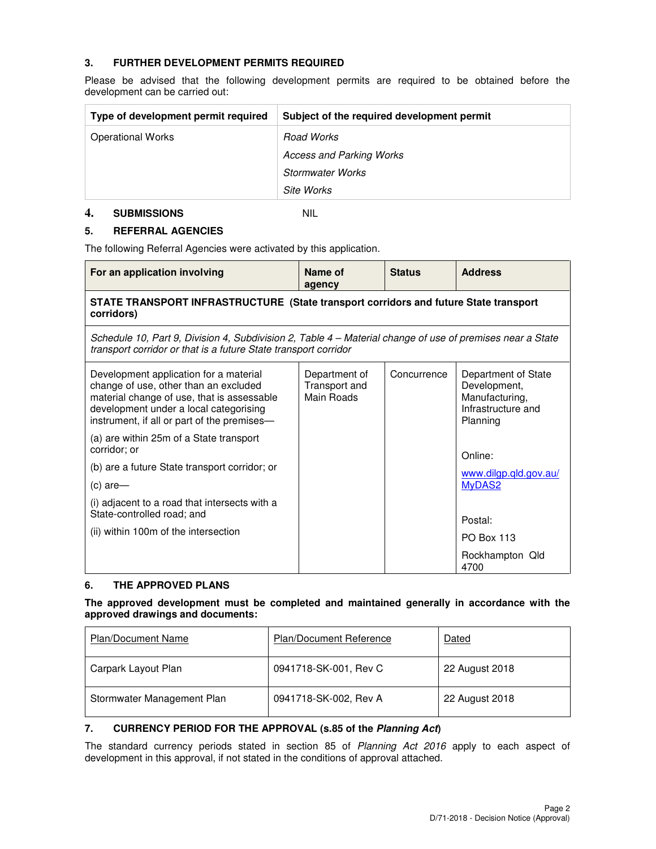### **3. FURTHER DEVELOPMENT PERMITS REQUIRED**

Please be advised that the following development permits are required to be obtained before the development can be carried out:

| Type of development permit required | Subject of the required development permit |
|-------------------------------------|--------------------------------------------|
| <b>Operational Works</b>            | Road Works                                 |
|                                     | <b>Access and Parking Works</b>            |
|                                     | <b>Stormwater Works</b>                    |
|                                     | Site Works                                 |

#### **4. SUBMISSIONS** NIL

# **5. REFERRAL AGENCIES**

The following Referral Agencies were activated by this application.

| For an application involving                                                                                                                                                                                           | Name of<br>agency                            | <b>Status</b> | <b>Address</b>                                                                          |  |  |
|------------------------------------------------------------------------------------------------------------------------------------------------------------------------------------------------------------------------|----------------------------------------------|---------------|-----------------------------------------------------------------------------------------|--|--|
| STATE TRANSPORT INFRASTRUCTURE (State transport corridors and future State transport<br>corridors)                                                                                                                     |                                              |               |                                                                                         |  |  |
| Schedule 10, Part 9, Division 4, Subdivision 2, Table 4 – Material change of use of premises near a State<br>transport corridor or that is a future State transport corridor                                           |                                              |               |                                                                                         |  |  |
| Development application for a material<br>change of use, other than an excluded<br>material change of use, that is assessable<br>development under a local categorising<br>instrument, if all or part of the premises- | Department of<br>Transport and<br>Main Roads | Concurrence   | Department of State<br>Development,<br>Manufacturing,<br>Infrastructure and<br>Planning |  |  |
| (a) are within 25m of a State transport<br>corridor; or                                                                                                                                                                |                                              |               | Online:                                                                                 |  |  |
| (b) are a future State transport corridor; or                                                                                                                                                                          |                                              |               | www.dilgp.qld.gov.au/                                                                   |  |  |
| $(c)$ are-                                                                                                                                                                                                             |                                              |               | MyDAS2                                                                                  |  |  |
| (i) adjacent to a road that intersects with a<br>State-controlled road; and                                                                                                                                            |                                              |               | Postal:                                                                                 |  |  |
| (ii) within 100m of the intersection                                                                                                                                                                                   |                                              |               | <b>PO Box 113</b>                                                                       |  |  |
|                                                                                                                                                                                                                        |                                              |               |                                                                                         |  |  |
|                                                                                                                                                                                                                        |                                              |               | Rockhampton Qld<br>4700                                                                 |  |  |

## **6. THE APPROVED PLANS**

#### **The approved development must be completed and maintained generally in accordance with the approved drawings and documents:**

| <b>Plan/Document Name</b>  | <b>Plan/Document Reference</b> | Dated          |
|----------------------------|--------------------------------|----------------|
| Carpark Layout Plan        | 0941718-SK-001, Rev C          | 22 August 2018 |
| Stormwater Management Plan | 0941718-SK-002, Rev A          | 22 August 2018 |

#### **7. CURRENCY PERIOD FOR THE APPROVAL (s.85 of the Planning Act)**

The standard currency periods stated in section 85 of Planning Act 2016 apply to each aspect of development in this approval, if not stated in the conditions of approval attached.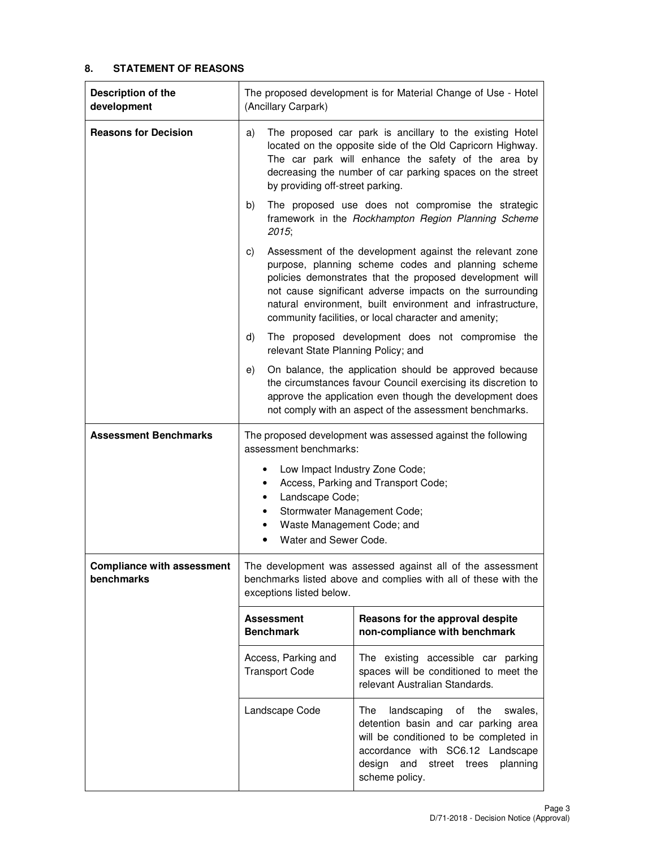# **8. STATEMENT OF REASONS**

| Description of the<br>development        | The proposed development is for Material Change of Use - Hotel<br>(Ancillary Carpark)                                                                                                                                                                                                                                                                              |                                                                                                                                                                                                                              |  |
|------------------------------------------|--------------------------------------------------------------------------------------------------------------------------------------------------------------------------------------------------------------------------------------------------------------------------------------------------------------------------------------------------------------------|------------------------------------------------------------------------------------------------------------------------------------------------------------------------------------------------------------------------------|--|
| <b>Reasons for Decision</b>              | The proposed car park is ancillary to the existing Hotel<br>a)<br>located on the opposite side of the Old Capricorn Highway.<br>The car park will enhance the safety of the area by<br>decreasing the number of car parking spaces on the street<br>by providing off-street parking.                                                                               |                                                                                                                                                                                                                              |  |
|                                          | The proposed use does not compromise the strategic<br>b)<br>framework in the Rockhampton Region Planning Scheme<br>2015;                                                                                                                                                                                                                                           |                                                                                                                                                                                                                              |  |
|                                          | Assessment of the development against the relevant zone<br>C)<br>purpose, planning scheme codes and planning scheme<br>policies demonstrates that the proposed development will<br>not cause significant adverse impacts on the surrounding<br>natural environment, built environment and infrastructure,<br>community facilities, or local character and amenity; |                                                                                                                                                                                                                              |  |
|                                          | d)<br>relevant State Planning Policy; and                                                                                                                                                                                                                                                                                                                          | The proposed development does not compromise the                                                                                                                                                                             |  |
|                                          | On balance, the application should be approved because<br>e)<br>the circumstances favour Council exercising its discretion to<br>approve the application even though the development does<br>not comply with an aspect of the assessment benchmarks.                                                                                                               |                                                                                                                                                                                                                              |  |
| <b>Assessment Benchmarks</b>             | The proposed development was assessed against the following<br>assessment benchmarks:                                                                                                                                                                                                                                                                              |                                                                                                                                                                                                                              |  |
|                                          | Low Impact Industry Zone Code;<br>٠<br>Access, Parking and Transport Code;<br>٠<br>Landscape Code;<br>$\bullet$<br>Stormwater Management Code;<br>$\bullet$<br>Waste Management Code; and<br>٠<br>Water and Sewer Code.                                                                                                                                            |                                                                                                                                                                                                                              |  |
| Compliance with assessment<br>benchmarks | The development was assessed against all of the assessment<br>benchmarks listed above and complies with all of these with the<br>exceptions listed below.                                                                                                                                                                                                          |                                                                                                                                                                                                                              |  |
|                                          | Reasons for the approval despite<br><b>Assessment</b><br><b>Benchmark</b><br>non-compliance with benchmark                                                                                                                                                                                                                                                         |                                                                                                                                                                                                                              |  |
|                                          | Access, Parking and<br><b>Transport Code</b>                                                                                                                                                                                                                                                                                                                       | The existing accessible car parking<br>spaces will be conditioned to meet the<br>relevant Australian Standards.                                                                                                              |  |
|                                          | Landscape Code                                                                                                                                                                                                                                                                                                                                                     | landscaping<br>The<br>the<br>of<br>swales,<br>detention basin and car parking area<br>will be conditioned to be completed in<br>accordance with SC6.12 Landscape<br>street trees<br>design and<br>planning<br>scheme policy. |  |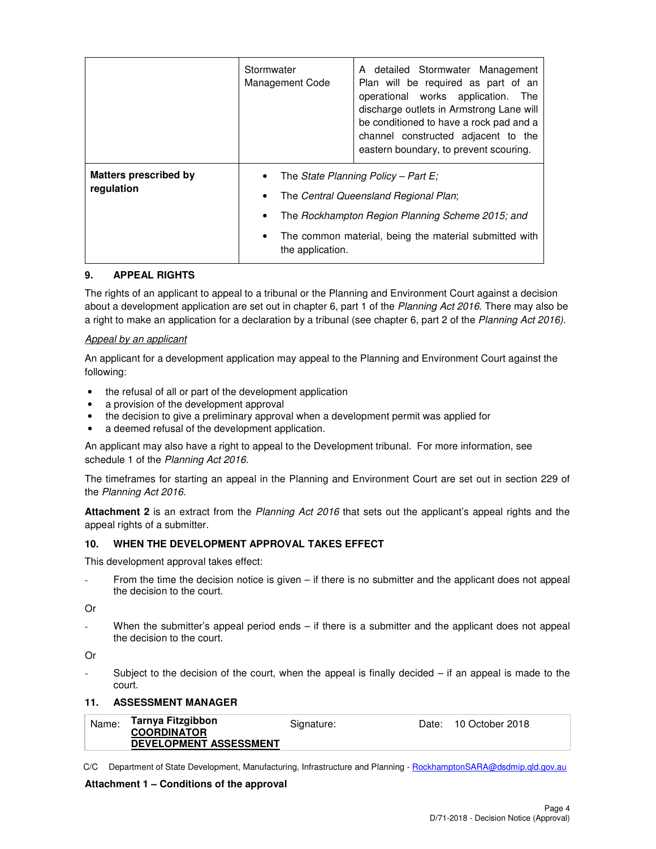|                                            | Stormwater<br>Management Code        | A detailed Stormwater Management<br>Plan will be required as part of an<br>operational works application. The<br>discharge outlets in Armstrong Lane will<br>be conditioned to have a rock pad and a<br>channel constructed adjacent to the<br>eastern boundary, to prevent scouring. |
|--------------------------------------------|--------------------------------------|---------------------------------------------------------------------------------------------------------------------------------------------------------------------------------------------------------------------------------------------------------------------------------------|
| <b>Matters prescribed by</b><br>regulation | ٠<br>٠<br>٠<br>٠<br>the application. | The State Planning Policy – Part E;<br>The Central Queensland Regional Plan;<br>The Rockhampton Region Planning Scheme 2015; and<br>The common material, being the material submitted with                                                                                            |

#### **9. APPEAL RIGHTS**

The rights of an applicant to appeal to a tribunal or the Planning and Environment Court against a decision about a development application are set out in chapter 6, part 1 of the Planning Act 2016. There may also be a right to make an application for a declaration by a tribunal (see chapter 6, part 2 of the Planning Act 2016).

#### Appeal by an applicant

An applicant for a development application may appeal to the Planning and Environment Court against the following:

- the refusal of all or part of the development application
- a provision of the development approval
- the decision to give a preliminary approval when a development permit was applied for
- a deemed refusal of the development application.

An applicant may also have a right to appeal to the Development tribunal. For more information, see schedule 1 of the Planning Act 2016.

The timeframes for starting an appeal in the Planning and Environment Court are set out in section 229 of the Planning Act 2016.

**Attachment 2** is an extract from the Planning Act 2016 that sets out the applicant's appeal rights and the appeal rights of a submitter.

#### **10. WHEN THE DEVELOPMENT APPROVAL TAKES EFFECT**

This development approval takes effect:

From the time the decision notice is given – if there is no submitter and the applicant does not appeal the decision to the court.

Or

When the submitter's appeal period ends  $-$  if there is a submitter and the applicant does not appeal the decision to the court.

Or

Subject to the decision of the court, when the appeal is finally decided  $-$  if an appeal is made to the court.

#### **11. ASSESSMENT MANAGER**

| Name: | Tarnya Fitzgibbon             | Signature: | Date: 10 October 2018 |
|-------|-------------------------------|------------|-----------------------|
|       | <b>COORDINATOR</b>            |            |                       |
|       | <b>DEVELOPMENT ASSESSMENT</b> |            |                       |

C/C Department of State Development, Manufacturing, Infrastructure and Planning - RockhamptonSARA@dsdmip.qld.gov.au

#### **Attachment 1 – Conditions of the approval**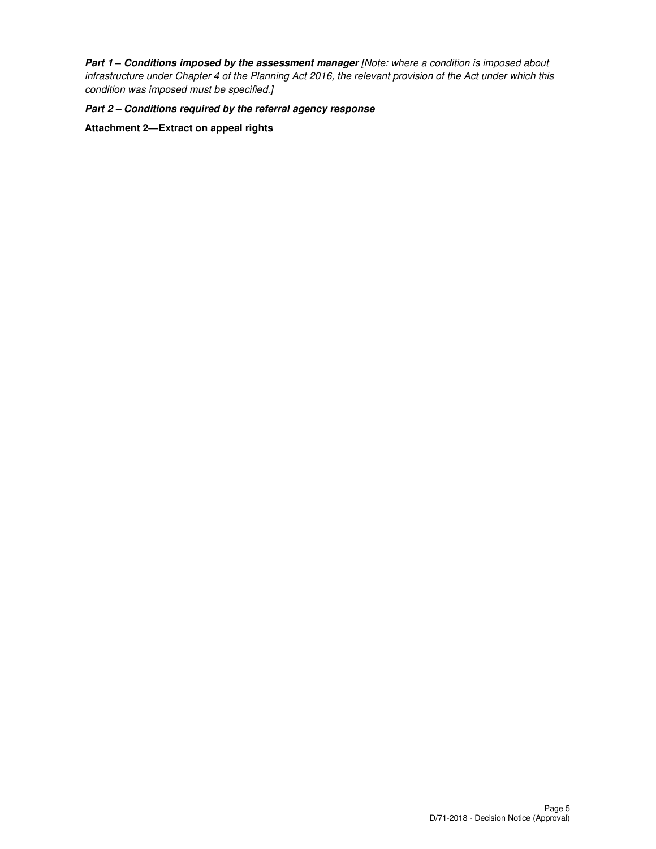Part 1 - Conditions imposed by the assessment manager [Note: where a condition is imposed about infrastructure under Chapter 4 of the Planning Act 2016, the relevant provision of the Act under which this condition was imposed must be specified.]

**Part 2 – Conditions required by the referral agency response**

**Attachment 2—Extract on appeal rights**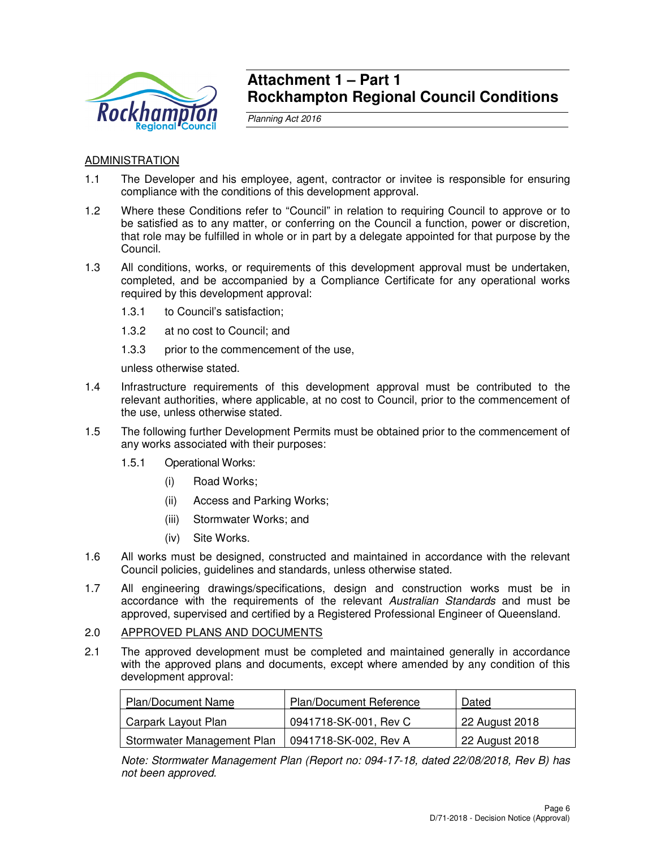

# **Attachment 1 – Part 1 Rockhampton Regional Council Conditions**

Planning Act 2016

# ADMINISTRATION

- 1.1 The Developer and his employee, agent, contractor or invitee is responsible for ensuring compliance with the conditions of this development approval.
- 1.2 Where these Conditions refer to "Council" in relation to requiring Council to approve or to be satisfied as to any matter, or conferring on the Council a function, power or discretion, that role may be fulfilled in whole or in part by a delegate appointed for that purpose by the Council.
- 1.3 All conditions, works, or requirements of this development approval must be undertaken, completed, and be accompanied by a Compliance Certificate for any operational works required by this development approval:
	- 1.3.1 to Council's satisfaction;
	- 1.3.2 at no cost to Council; and
	- 1.3.3 prior to the commencement of the use,

unless otherwise stated.

- 1.4 Infrastructure requirements of this development approval must be contributed to the relevant authorities, where applicable, at no cost to Council, prior to the commencement of the use, unless otherwise stated.
- 1.5 The following further Development Permits must be obtained prior to the commencement of any works associated with their purposes:
	- 1.5.1 Operational Works:
		- (i) Road Works;
		- (ii) Access and Parking Works;
		- (iii) Stormwater Works; and
		- (iv) Site Works.
- 1.6 All works must be designed, constructed and maintained in accordance with the relevant Council policies, guidelines and standards, unless otherwise stated.
- 1.7 All engineering drawings/specifications, design and construction works must be in accordance with the requirements of the relevant Australian Standards and must be approved, supervised and certified by a Registered Professional Engineer of Queensland.
- 2.0 APPROVED PLANS AND DOCUMENTS
- 2.1 The approved development must be completed and maintained generally in accordance with the approved plans and documents, except where amended by any condition of this development approval:

| Plan/Document Name         | <b>Plan/Document Reference</b> | Dated                       |
|----------------------------|--------------------------------|-----------------------------|
| Carpark Layout Plan        | 0941718-SK-001, Rev C          | <sup>1</sup> 22 August 2018 |
| Stormwater Management Plan | 0941718-SK-002, Rev A          | 22 August 2018              |

Note: Stormwater Management Plan (Report no: 094-17-18, dated 22/08/2018, Rev B) has not been approved.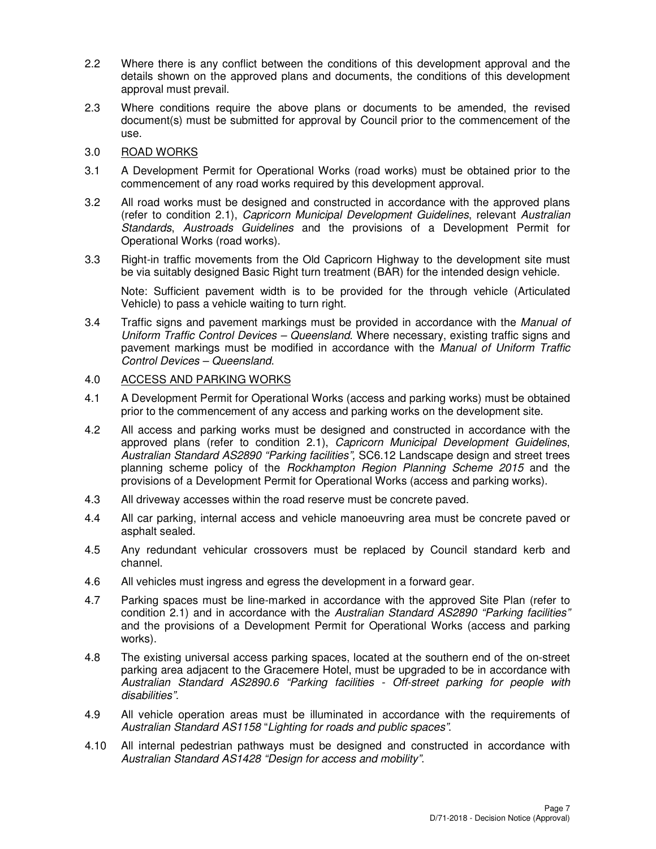- 2.2 Where there is any conflict between the conditions of this development approval and the details shown on the approved plans and documents, the conditions of this development approval must prevail.
- 2.3 Where conditions require the above plans or documents to be amended, the revised document(s) must be submitted for approval by Council prior to the commencement of the use.
- 3.0 ROAD WORKS
- 3.1 A Development Permit for Operational Works (road works) must be obtained prior to the commencement of any road works required by this development approval.
- 3.2 All road works must be designed and constructed in accordance with the approved plans (refer to condition 2.1), Capricorn Municipal Development Guidelines, relevant Australian Standards, Austroads Guidelines and the provisions of a Development Permit for Operational Works (road works).
- 3.3 Right-in traffic movements from the Old Capricorn Highway to the development site must be via suitably designed Basic Right turn treatment (BAR) for the intended design vehicle.

Note: Sufficient pavement width is to be provided for the through vehicle (Articulated Vehicle) to pass a vehicle waiting to turn right.

3.4 Traffic signs and pavement markings must be provided in accordance with the Manual of Uniform Traffic Control Devices – Queensland. Where necessary, existing traffic signs and pavement markings must be modified in accordance with the Manual of Uniform Traffic Control Devices – Queensland.

#### 4.0 ACCESS AND PARKING WORKS

- 4.1 A Development Permit for Operational Works (access and parking works) must be obtained prior to the commencement of any access and parking works on the development site.
- 4.2 All access and parking works must be designed and constructed in accordance with the approved plans (refer to condition 2.1), Capricorn Municipal Development Guidelines, Australian Standard AS2890 "Parking facilities", SC6.12 Landscape design and street trees planning scheme policy of the Rockhampton Region Planning Scheme 2015 and the provisions of a Development Permit for Operational Works (access and parking works).
- 4.3 All driveway accesses within the road reserve must be concrete paved.
- 4.4 All car parking, internal access and vehicle manoeuvring area must be concrete paved or asphalt sealed.
- 4.5 Any redundant vehicular crossovers must be replaced by Council standard kerb and channel.
- 4.6 All vehicles must ingress and egress the development in a forward gear.
- 4.7 Parking spaces must be line-marked in accordance with the approved Site Plan (refer to condition 2.1) and in accordance with the Australian Standard AS2890 "Parking facilities" and the provisions of a Development Permit for Operational Works (access and parking works).
- 4.8 The existing universal access parking spaces, located at the southern end of the on-street parking area adjacent to the Gracemere Hotel, must be upgraded to be in accordance with Australian Standard AS2890.6 "Parking facilities - Off-street parking for people with disabilities".
- 4.9 All vehicle operation areas must be illuminated in accordance with the requirements of Australian Standard AS1158 "Lighting for roads and public spaces".
- 4.10 All internal pedestrian pathways must be designed and constructed in accordance with Australian Standard AS1428 "Design for access and mobility".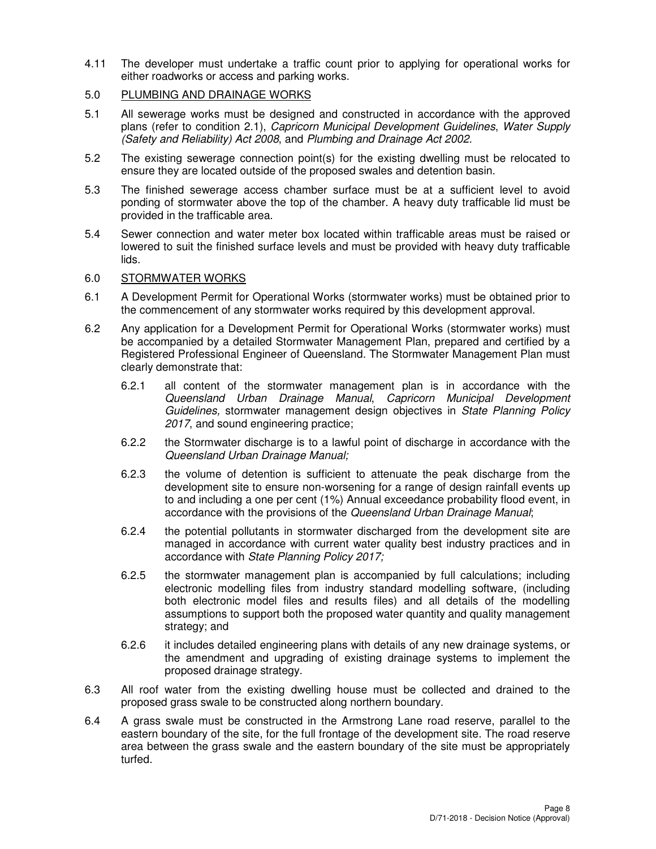4.11 The developer must undertake a traffic count prior to applying for operational works for either roadworks or access and parking works.

## 5.0 PLUMBING AND DRAINAGE WORKS

- 5.1 All sewerage works must be designed and constructed in accordance with the approved plans (refer to condition 2.1), Capricorn Municipal Development Guidelines, Water Supply (Safety and Reliability) Act 2008, and Plumbing and Drainage Act 2002.
- 5.2 The existing sewerage connection point(s) for the existing dwelling must be relocated to ensure they are located outside of the proposed swales and detention basin.
- 5.3 The finished sewerage access chamber surface must be at a sufficient level to avoid ponding of stormwater above the top of the chamber. A heavy duty trafficable lid must be provided in the trafficable area.
- 5.4 Sewer connection and water meter box located within trafficable areas must be raised or lowered to suit the finished surface levels and must be provided with heavy duty trafficable lids.

## 6.0 STORMWATER WORKS

- 6.1 A Development Permit for Operational Works (stormwater works) must be obtained prior to the commencement of any stormwater works required by this development approval.
- 6.2 Any application for a Development Permit for Operational Works (stormwater works) must be accompanied by a detailed Stormwater Management Plan, prepared and certified by a Registered Professional Engineer of Queensland. The Stormwater Management Plan must clearly demonstrate that:
	- 6.2.1 all content of the stormwater management plan is in accordance with the Queensland Urban Drainage Manual, Capricorn Municipal Development Guidelines, stormwater management design objectives in State Planning Policy 2017, and sound engineering practice;
	- 6.2.2 the Stormwater discharge is to a lawful point of discharge in accordance with the Queensland Urban Drainage Manual;
	- 6.2.3 the volume of detention is sufficient to attenuate the peak discharge from the development site to ensure non-worsening for a range of design rainfall events up to and including a one per cent (1%) Annual exceedance probability flood event, in accordance with the provisions of the Queensland Urban Drainage Manual;
	- 6.2.4 the potential pollutants in stormwater discharged from the development site are managed in accordance with current water quality best industry practices and in accordance with State Planning Policy 2017;
	- 6.2.5 the stormwater management plan is accompanied by full calculations; including electronic modelling files from industry standard modelling software, (including both electronic model files and results files) and all details of the modelling assumptions to support both the proposed water quantity and quality management strategy; and
	- 6.2.6 it includes detailed engineering plans with details of any new drainage systems, or the amendment and upgrading of existing drainage systems to implement the proposed drainage strategy.
- 6.3 All roof water from the existing dwelling house must be collected and drained to the proposed grass swale to be constructed along northern boundary.
- 6.4 A grass swale must be constructed in the Armstrong Lane road reserve, parallel to the eastern boundary of the site, for the full frontage of the development site. The road reserve area between the grass swale and the eastern boundary of the site must be appropriately turfed.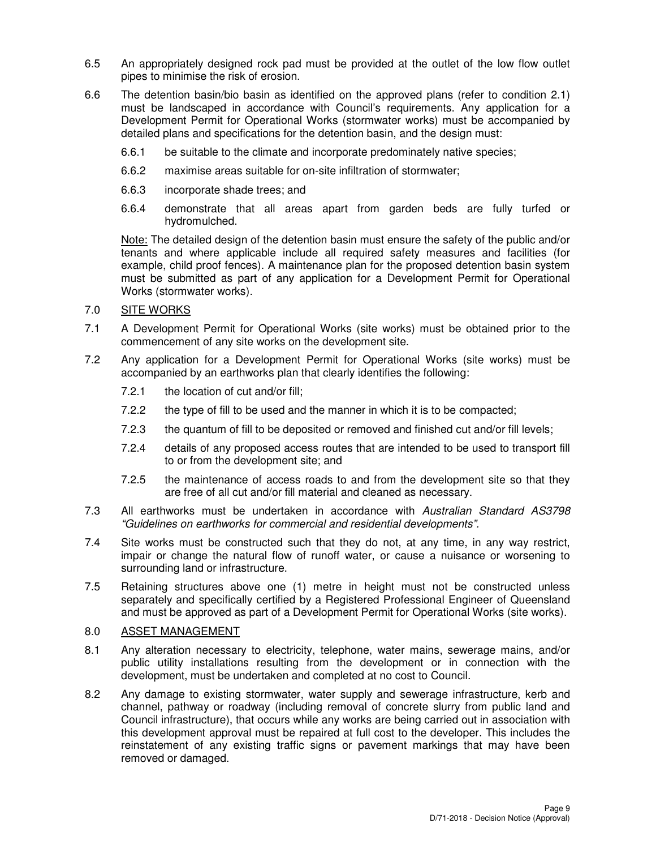- 6.5 An appropriately designed rock pad must be provided at the outlet of the low flow outlet pipes to minimise the risk of erosion.
- 6.6 The detention basin/bio basin as identified on the approved plans (refer to condition 2.1) must be landscaped in accordance with Council's requirements. Any application for a Development Permit for Operational Works (stormwater works) must be accompanied by detailed plans and specifications for the detention basin, and the design must:
	- 6.6.1 be suitable to the climate and incorporate predominately native species;
	- 6.6.2 maximise areas suitable for on-site infiltration of stormwater;
	- 6.6.3 incorporate shade trees; and
	- 6.6.4 demonstrate that all areas apart from garden beds are fully turfed or hydromulched.

Note: The detailed design of the detention basin must ensure the safety of the public and/or tenants and where applicable include all required safety measures and facilities (for example, child proof fences). A maintenance plan for the proposed detention basin system must be submitted as part of any application for a Development Permit for Operational Works (stormwater works).

# 7.0 SITE WORKS

- 7.1 A Development Permit for Operational Works (site works) must be obtained prior to the commencement of any site works on the development site.
- 7.2 Any application for a Development Permit for Operational Works (site works) must be accompanied by an earthworks plan that clearly identifies the following:
	- 7.2.1 the location of cut and/or fill;
	- 7.2.2 the type of fill to be used and the manner in which it is to be compacted;
	- 7.2.3 the quantum of fill to be deposited or removed and finished cut and/or fill levels;
	- 7.2.4 details of any proposed access routes that are intended to be used to transport fill to or from the development site; and
	- 7.2.5 the maintenance of access roads to and from the development site so that they are free of all cut and/or fill material and cleaned as necessary.
- 7.3 All earthworks must be undertaken in accordance with Australian Standard AS3798 "Guidelines on earthworks for commercial and residential developments".
- 7.4 Site works must be constructed such that they do not, at any time, in any way restrict, impair or change the natural flow of runoff water, or cause a nuisance or worsening to surrounding land or infrastructure.
- 7.5 Retaining structures above one (1) metre in height must not be constructed unless separately and specifically certified by a Registered Professional Engineer of Queensland and must be approved as part of a Development Permit for Operational Works (site works).

#### 8.0 ASSET MANAGEMENT

- 8.1 Any alteration necessary to electricity, telephone, water mains, sewerage mains, and/or public utility installations resulting from the development or in connection with the development, must be undertaken and completed at no cost to Council.
- 8.2 Any damage to existing stormwater, water supply and sewerage infrastructure, kerb and channel, pathway or roadway (including removal of concrete slurry from public land and Council infrastructure), that occurs while any works are being carried out in association with this development approval must be repaired at full cost to the developer. This includes the reinstatement of any existing traffic signs or pavement markings that may have been removed or damaged.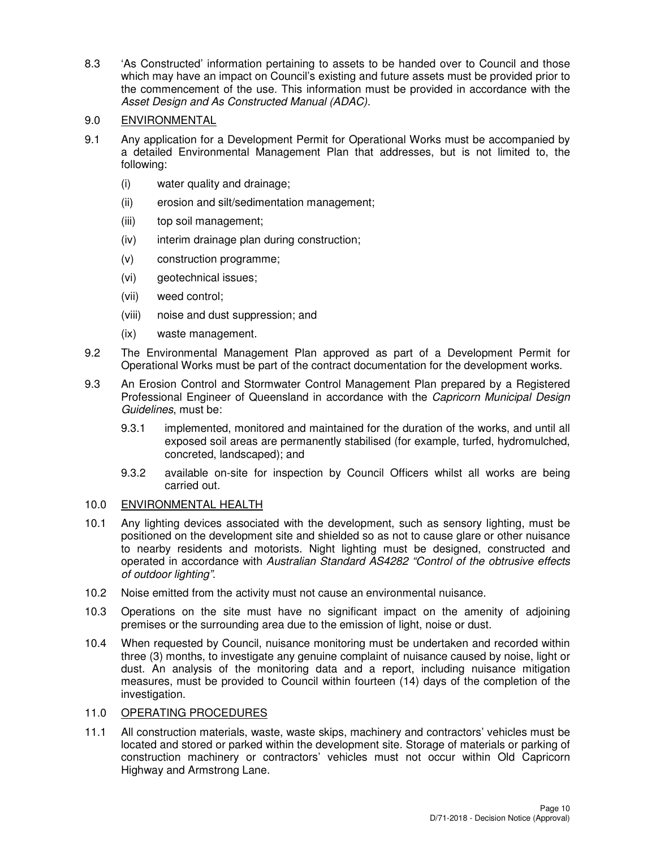8.3 'As Constructed' information pertaining to assets to be handed over to Council and those which may have an impact on Council's existing and future assets must be provided prior to the commencement of the use. This information must be provided in accordance with the Asset Design and As Constructed Manual (ADAC).

# 9.0 ENVIRONMENTAL

- 9.1 Any application for a Development Permit for Operational Works must be accompanied by a detailed Environmental Management Plan that addresses, but is not limited to, the following:
	- (i) water quality and drainage;
	- (ii) erosion and silt/sedimentation management;
	- (iii) top soil management;
	- (iv) interim drainage plan during construction;
	- (v) construction programme;
	- (vi) geotechnical issues;
	- (vii) weed control;
	- (viii) noise and dust suppression; and
	- (ix) waste management.
- 9.2 The Environmental Management Plan approved as part of a Development Permit for Operational Works must be part of the contract documentation for the development works.
- 9.3 An Erosion Control and Stormwater Control Management Plan prepared by a Registered Professional Engineer of Queensland in accordance with the Capricorn Municipal Design Guidelines, must be:
	- 9.3.1 implemented, monitored and maintained for the duration of the works, and until all exposed soil areas are permanently stabilised (for example, turfed, hydromulched, concreted, landscaped); and
	- 9.3.2 available on-site for inspection by Council Officers whilst all works are being carried out.

# 10.0 ENVIRONMENTAL HEALTH

- 10.1 Any lighting devices associated with the development, such as sensory lighting, must be positioned on the development site and shielded so as not to cause glare or other nuisance to nearby residents and motorists. Night lighting must be designed, constructed and operated in accordance with Australian Standard AS4282 "Control of the obtrusive effects of outdoor lighting".
- 10.2 Noise emitted from the activity must not cause an environmental nuisance.
- 10.3 Operations on the site must have no significant impact on the amenity of adjoining premises or the surrounding area due to the emission of light, noise or dust.
- 10.4 When requested by Council, nuisance monitoring must be undertaken and recorded within three (3) months, to investigate any genuine complaint of nuisance caused by noise, light or dust. An analysis of the monitoring data and a report, including nuisance mitigation measures, must be provided to Council within fourteen (14) days of the completion of the investigation.

# 11.0 OPERATING PROCEDURES

11.1 All construction materials, waste, waste skips, machinery and contractors' vehicles must be located and stored or parked within the development site. Storage of materials or parking of construction machinery or contractors' vehicles must not occur within Old Capricorn Highway and Armstrong Lane.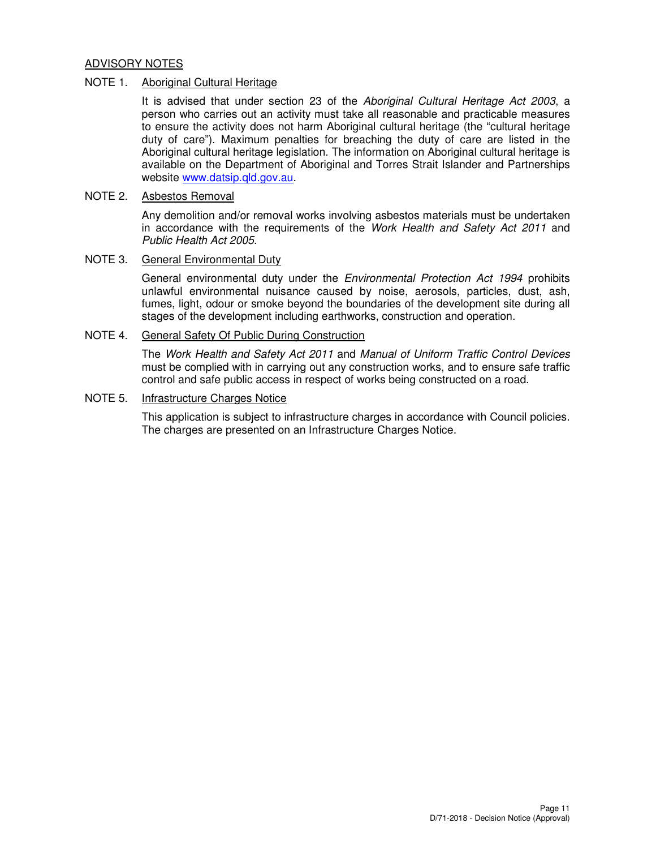#### ADVISORY NOTES

#### NOTE 1. Aboriginal Cultural Heritage

It is advised that under section 23 of the Aboriginal Cultural Heritage Act 2003, a person who carries out an activity must take all reasonable and practicable measures to ensure the activity does not harm Aboriginal cultural heritage (the "cultural heritage duty of care"). Maximum penalties for breaching the duty of care are listed in the Aboriginal cultural heritage legislation. The information on Aboriginal cultural heritage is available on the Department of Aboriginal and Torres Strait Islander and Partnerships website www.datsip.qld.gov.au.

## NOTE 2. Asbestos Removal

Any demolition and/or removal works involving asbestos materials must be undertaken in accordance with the requirements of the Work Health and Safety Act 2011 and Public Health Act 2005.

#### NOTE 3. General Environmental Duty

General environmental duty under the *Environmental Protection Act 1994* prohibits unlawful environmental nuisance caused by noise, aerosols, particles, dust, ash, fumes, light, odour or smoke beyond the boundaries of the development site during all stages of the development including earthworks, construction and operation.

# NOTE 4. General Safety Of Public During Construction

The Work Health and Safety Act 2011 and Manual of Uniform Traffic Control Devices must be complied with in carrying out any construction works, and to ensure safe traffic control and safe public access in respect of works being constructed on a road.

#### NOTE 5. Infrastructure Charges Notice

This application is subject to infrastructure charges in accordance with Council policies. The charges are presented on an Infrastructure Charges Notice.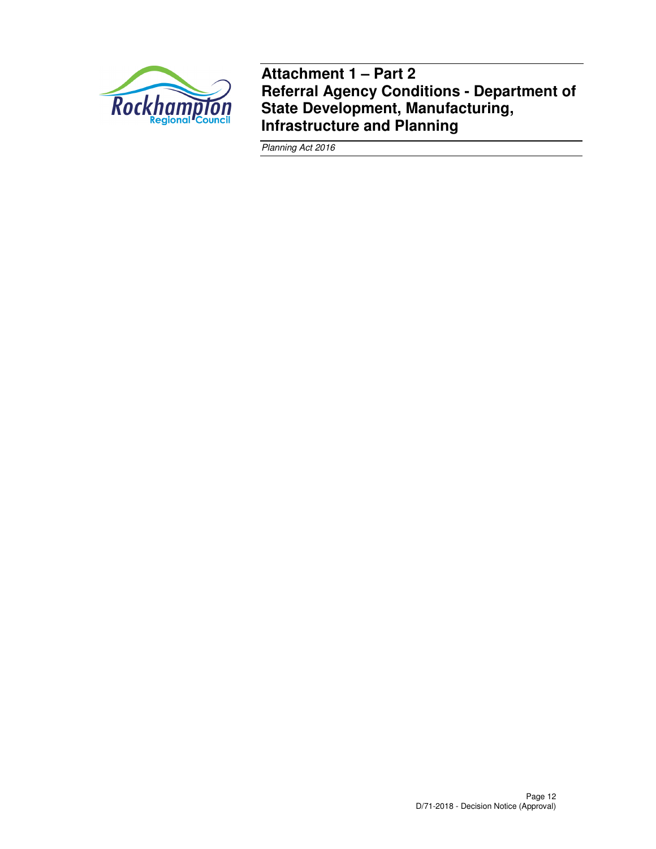

**Attachment 1 – Part 2 Referral Agency Conditions - Department of State Development, Manufacturing, Infrastructure and Planning** 

Planning Act 2016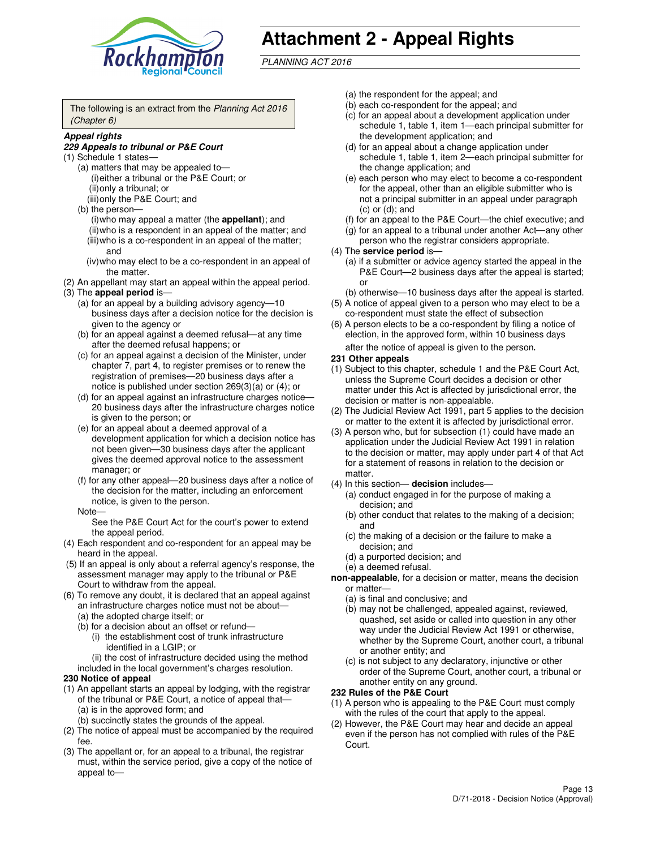

# **Attachment 2 - Appeal Rights**

PLANNING ACT 2016

The following is an extract from the Planning Act 2016 (Chapter 6)

#### **Appeal rights**

#### **229 Appeals to tribunal or P&E Court**

- (1) Schedule 1 states—
	- (a) matters that may be appealed to— (i) either a tribunal or the P&E Court; or (ii) only a tribunal; or (iii) only the P&E Court; and
	- (b) the person—
		- (i) who may appeal a matter (the **appellant**); and
		- (ii) who is a respondent in an appeal of the matter; and (iii) who is a co-respondent in an appeal of the matter;
		- and (iv) who may elect to be a co-respondent in an appeal of the matter.
- (2) An appellant may start an appeal within the appeal period.
- (3) The **appeal period** is—
	- (a) for an appeal by a building advisory agency—10 business days after a decision notice for the decision is given to the agency or
	- (b) for an appeal against a deemed refusal—at any time after the deemed refusal happens; or
	- (c) for an appeal against a decision of the Minister, under chapter 7, part 4, to register premises or to renew the registration of premises—20 business days after a notice is published under section 269(3)(a) or (4); or
	- (d) for an appeal against an infrastructure charges notice— 20 business days after the infrastructure charges notice is given to the person; or
	- (e) for an appeal about a deemed approval of a development application for which a decision notice has not been given—30 business days after the applicant gives the deemed approval notice to the assessment manager; or
	- (f) for any other appeal—20 business days after a notice of the decision for the matter, including an enforcement notice, is given to the person.
	- Note—

See the P&E Court Act for the court's power to extend the appeal period.

- (4) Each respondent and co-respondent for an appeal may be heard in the appeal.
- (5) If an appeal is only about a referral agency's response, the assessment manager may apply to the tribunal or P&E Court to withdraw from the appeal.
- (6) To remove any doubt, it is declared that an appeal against an infrastructure charges notice must not be about—
	- (a) the adopted charge itself; or
	- (b) for a decision about an offset or refund—
		- (i) the establishment cost of trunk infrastructure identified in a LGIP; or

(ii) the cost of infrastructure decided using the method

- included in the local government's charges resolution. **230 Notice of appeal**
- (1) An appellant starts an appeal by lodging, with the registrar of the tribunal or P&E Court, a notice of appeal that—
	- (a) is in the approved form; and
	- (b) succinctly states the grounds of the appeal.
- (2) The notice of appeal must be accompanied by the required fee.
- (3) The appellant or, for an appeal to a tribunal, the registrar must, within the service period, give a copy of the notice of appeal to—
- (a) the respondent for the appeal; and
- (b) each co-respondent for the appeal; and
- (c) for an appeal about a development application under schedule 1, table 1, item 1—each principal submitter for the development application; and
- (d) for an appeal about a change application under schedule 1, table 1, item 2—each principal submitter for the change application; and
- (e) each person who may elect to become a co-respondent for the appeal, other than an eligible submitter who is not a principal submitter in an appeal under paragraph  $(c)$  or  $(d)$ ; and
- (f) for an appeal to the P&E Court—the chief executive; and
- (g) for an appeal to a tribunal under another Act—any other person who the registrar considers appropriate.
- (4) The **service period** is—
	- (a) if a submitter or advice agency started the appeal in the P&E Court—2 business days after the appeal is started; or
	- (b) otherwise—10 business days after the appeal is started.
- (5) A notice of appeal given to a person who may elect to be a co-respondent must state the effect of subsection
- (6) A person elects to be a co-respondent by filing a notice of election, in the approved form, within 10 business days after the notice of appeal is given to the person*.*
- **231 Other appeals**
- (1) Subject to this chapter, schedule 1 and the P&E Court Act, unless the Supreme Court decides a decision or other matter under this Act is affected by jurisdictional error, the decision or matter is non-appealable.
- (2) The Judicial Review Act 1991, part 5 applies to the decision or matter to the extent it is affected by jurisdictional error.
- (3) A person who, but for subsection (1) could have made an application under the Judicial Review Act 1991 in relation to the decision or matter, may apply under part 4 of that Act for a statement of reasons in relation to the decision or matter.
- (4) In this section— **decision** includes—
	- (a) conduct engaged in for the purpose of making a decision; and
	- (b) other conduct that relates to the making of a decision; and
	- (c) the making of a decision or the failure to make a decision; and
	- (d) a purported decision; and
	- (e) a deemed refusal.

**non-appealable**, for a decision or matter, means the decision or matter—

- (a) is final and conclusive; and
- (b) may not be challenged, appealed against, reviewed, quashed, set aside or called into question in any other way under the Judicial Review Act 1991 or otherwise, whether by the Supreme Court, another court, a tribunal or another entity; and
- (c) is not subject to any declaratory, injunctive or other order of the Supreme Court, another court, a tribunal or another entity on any ground.

#### **232 Rules of the P&E Court**

- (1) A person who is appealing to the P&E Court must comply with the rules of the court that apply to the appeal.
- (2) However, the P&E Court may hear and decide an appeal even if the person has not complied with rules of the P&E Court.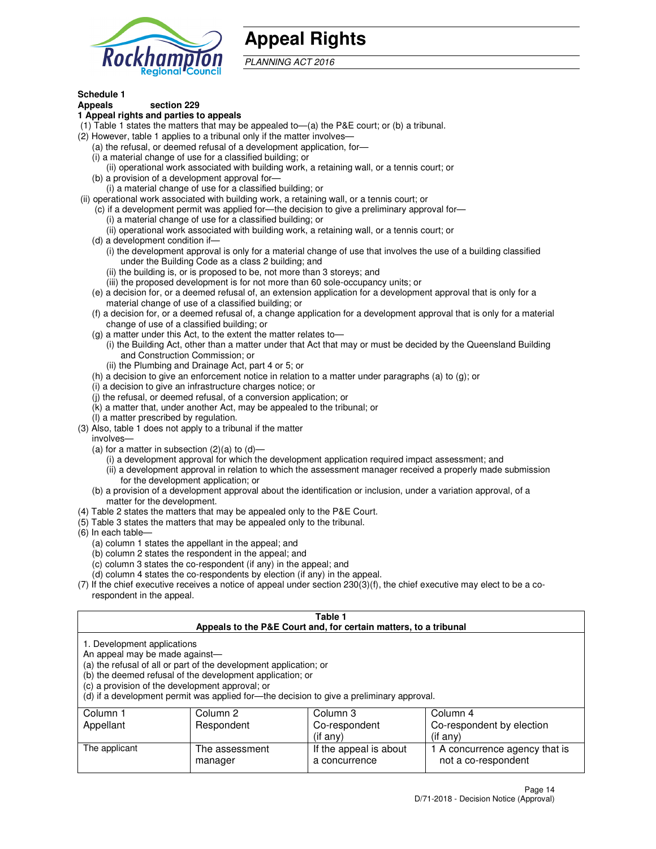

# **Appeal Rights**

PLANNING ACT 2016

# **Schedule 1**

# **Appeals section 229**

#### **1 Appeal rights and parties to appeals**

- (1) Table 1 states the matters that may be appealed to—(a) the P&E court; or (b) a tribunal.
- (2) However, table 1 applies to a tribunal only if the matter involves—
	- (a) the refusal, or deemed refusal of a development application, for—
	- (i) a material change of use for a classified building; or
	- (ii) operational work associated with building work, a retaining wall, or a tennis court; or
	- (b) a provision of a development approval for—
	- (i) a material change of use for a classified building; or
- (ii) operational work associated with building work, a retaining wall, or a tennis court; or
	- (c) if a development permit was applied for—the decision to give a preliminary approval for—
		- (i) a material change of use for a classified building; or
		- (ii) operational work associated with building work, a retaining wall, or a tennis court; or
	- (d) a development condition if—
		- (i) the development approval is only for a material change of use that involves the use of a building classified under the Building Code as a class 2 building; and
		- (ii) the building is, or is proposed to be, not more than 3 storeys; and
		- (iii) the proposed development is for not more than 60 sole-occupancy units; or
	- (e) a decision for, or a deemed refusal of, an extension application for a development approval that is only for a material change of use of a classified building; or
	- (f) a decision for, or a deemed refusal of, a change application for a development approval that is only for a material change of use of a classified building; or
	- (g) a matter under this Act, to the extent the matter relates to—
		- (i) the Building Act, other than a matter under that Act that may or must be decided by the Queensland Building and Construction Commission; or
		- (ii) the Plumbing and Drainage Act, part 4 or 5; or
	- (h) a decision to give an enforcement notice in relation to a matter under paragraphs (a) to (g); or
	- (i) a decision to give an infrastructure charges notice; or
	- (j) the refusal, or deemed refusal, of a conversion application; or
	- (k) a matter that, under another Act, may be appealed to the tribunal; or
	- (l) a matter prescribed by regulation.
- (3) Also, table 1 does not apply to a tribunal if the matter
	- involves—
	- (a) for a matter in subsection  $(2)(a)$  to  $(d)$ 
		- (i) a development approval for which the development application required impact assessment; and
		- (ii) a development approval in relation to which the assessment manager received a properly made submission for the development application; or
	- (b) a provision of a development approval about the identification or inclusion, under a variation approval, of a matter for the development.
- (4) Table 2 states the matters that may be appealed only to the P&E Court.
- (5) Table 3 states the matters that may be appealed only to the tribunal.
- (6) In each table—
	- (a) column 1 states the appellant in the appeal; and
	- (b) column 2 states the respondent in the appeal; and
	- (c) column 3 states the co-respondent (if any) in the appeal; and
	- (d) column 4 states the co-respondents by election (if any) in the appeal.
- (7) If the chief executive receives a notice of appeal under section 230(3)(f), the chief executive may elect to be a corespondent in the appeal.

| Table 1<br>Appeals to the P&E Court and, for certain matters, to a tribunal                                      |                                                                                                                                |                                                                                          |                                                       |  |
|------------------------------------------------------------------------------------------------------------------|--------------------------------------------------------------------------------------------------------------------------------|------------------------------------------------------------------------------------------|-------------------------------------------------------|--|
| 1. Development applications<br>An appeal may be made against-<br>(c) a provision of the development approval; or | (a) the refusal of all or part of the development application; or<br>(b) the deemed refusal of the development application; or | (d) if a development permit was applied for—the decision to give a preliminary approval. |                                                       |  |
| Column 1<br>Appellant                                                                                            | Column 2<br>Respondent                                                                                                         | Column 3<br>Co-respondent                                                                | Column 4<br>Co-respondent by election                 |  |
|                                                                                                                  |                                                                                                                                | (if any)                                                                                 | $($ if any $)$                                        |  |
| The applicant                                                                                                    | The assessment<br>manager                                                                                                      | If the appeal is about<br>a concurrence                                                  | 1 A concurrence agency that is<br>not a co-respondent |  |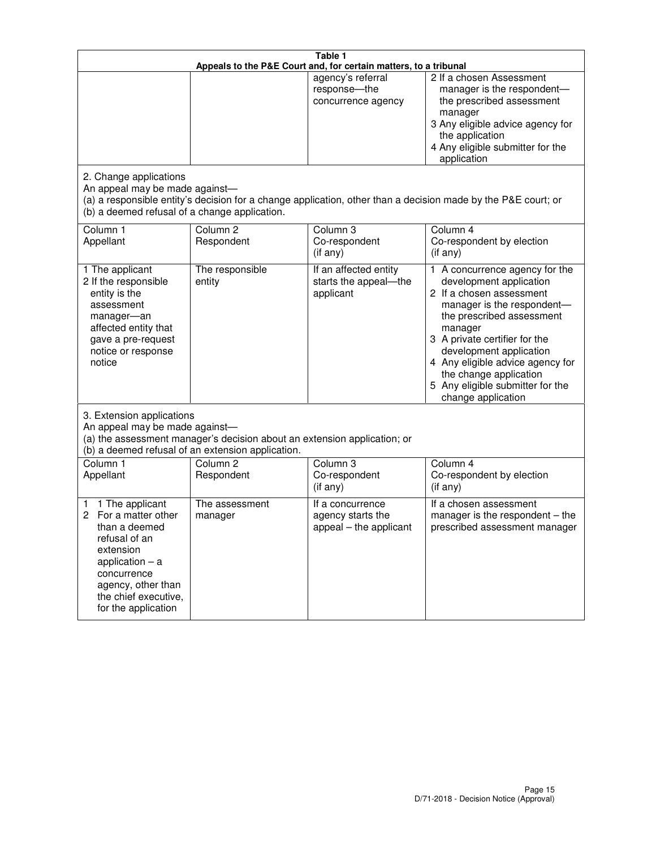|                                                                                                                                                                                                         | Table 1<br>Appeals to the P&E Court and, for certain matters, to a tribunal                                                   |                                                                 |                                                                                                                                                                                                                                                                                                                                                 |  |
|---------------------------------------------------------------------------------------------------------------------------------------------------------------------------------------------------------|-------------------------------------------------------------------------------------------------------------------------------|-----------------------------------------------------------------|-------------------------------------------------------------------------------------------------------------------------------------------------------------------------------------------------------------------------------------------------------------------------------------------------------------------------------------------------|--|
|                                                                                                                                                                                                         |                                                                                                                               | agency's referral<br>response-the<br>concurrence agency         | 2 If a chosen Assessment<br>manager is the respondent-<br>the prescribed assessment<br>manager<br>3 Any eligible advice agency for<br>the application<br>4 Any eligible submitter for the<br>application                                                                                                                                        |  |
| 2. Change applications<br>An appeal may be made against-<br>(b) a deemed refusal of a change application.                                                                                               |                                                                                                                               |                                                                 | (a) a responsible entity's decision for a change application, other than a decision made by the P&E court; or                                                                                                                                                                                                                                   |  |
| Column 1<br>Appellant                                                                                                                                                                                   | Column <sub>2</sub><br>Respondent                                                                                             | Column <sub>3</sub><br>Co-respondent<br>(if any)                | Column 4<br>Co-respondent by election<br>(if any)                                                                                                                                                                                                                                                                                               |  |
| 1 The applicant<br>2 If the responsible<br>entity is the<br>assessment<br>manager-an<br>affected entity that<br>gave a pre-request<br>notice or response<br>notice                                      | The responsible<br>entity                                                                                                     | If an affected entity<br>starts the appeal-the<br>applicant     | 1 A concurrence agency for the<br>development application<br>2 If a chosen assessment<br>manager is the respondent-<br>the prescribed assessment<br>manager<br>3 A private certifier for the<br>development application<br>4 Any eligible advice agency for<br>the change application<br>5 Any eligible submitter for the<br>change application |  |
| 3. Extension applications<br>An appeal may be made against-                                                                                                                                             | (a) the assessment manager's decision about an extension application; or<br>(b) a deemed refusal of an extension application. |                                                                 |                                                                                                                                                                                                                                                                                                                                                 |  |
| Column 1<br>Appellant                                                                                                                                                                                   | Column <sub>2</sub><br>Respondent                                                                                             | Column 3<br>Co-respondent<br>(if any)                           | Column 4<br>Co-respondent by election<br>(if any)                                                                                                                                                                                                                                                                                               |  |
| 1 The applicant<br>1<br>For a matter other<br>2<br>than a deemed<br>refusal of an<br>extension<br>application $-$ a<br>concurrence<br>agency, other than<br>the chief executive,<br>for the application | The assessment<br>manager                                                                                                     | If a concurrence<br>agency starts the<br>appeal - the applicant | If a chosen assessment<br>manager is the respondent – the<br>prescribed assessment manager                                                                                                                                                                                                                                                      |  |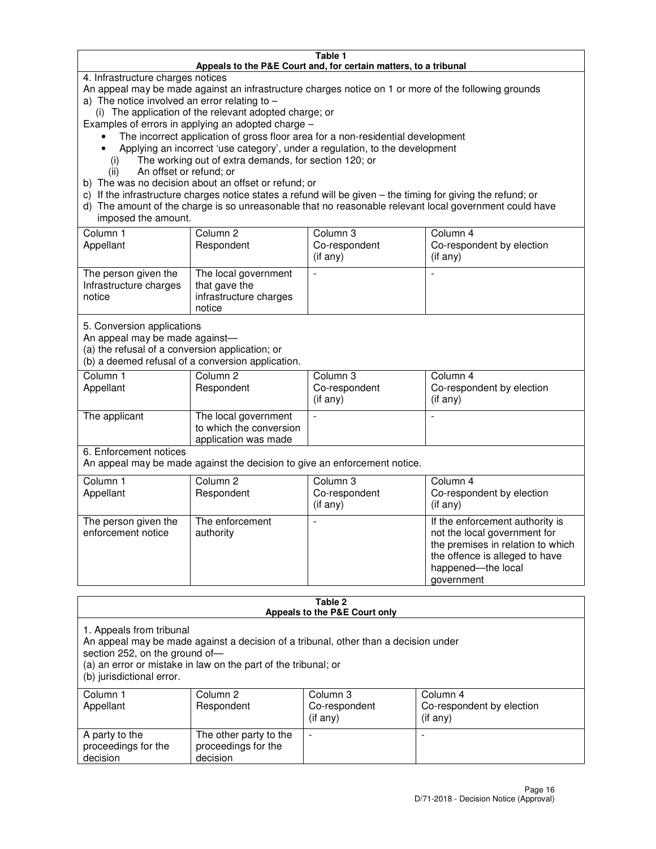#### **Table 1 Appeals to the P&E Court and, for certain matters, to a tribunal**

4. Infrastructure charges notices

An appeal may be made against an infrastructure charges notice on 1 or more of the following grounds

- a) The notice involved an error relating to
	- (i) The application of the relevant adopted charge; or

Examples of errors in applying an adopted charge –

- The incorrect application of gross floor area for a non-residential development
- Applying an incorrect 'use category', under a regulation, to the development
	- (i) The working out of extra demands, for section 120; or
	- (ii) An offset or refund; or
- b) The was no decision about an offset or refund; or
- c) If the infrastructure charges notice states a refund will be given the timing for giving the refund; or
- d) The amount of the charge is so unreasonable that no reasonable relevant local government could have imposed the amount.

| Column 1<br>Appellant                                    | Column 2<br>Respondent                                                    | Column 3<br>Co-respondent<br>$($ if any $)$ | Column 4<br>Co-respondent by election<br>$($ if any $)$ |
|----------------------------------------------------------|---------------------------------------------------------------------------|---------------------------------------------|---------------------------------------------------------|
| The person given the<br>Infrastructure charges<br>notice | The local government<br>that gave the<br>infrastructure charges<br>notice |                                             |                                                         |

5. Conversion applications

An appeal may be made against—

(a) the refusal of a conversion application; or

(b) a deemed refusal of a conversion application.

| Column 1<br>Appellant | Column 2<br>Respondent                                                  | Column 3<br>Co-respondent<br>$($ if any $)$ | Column 4<br>Co-respondent by election<br>$($ if any $)$ |
|-----------------------|-------------------------------------------------------------------------|---------------------------------------------|---------------------------------------------------------|
| The applicant         | The local government<br>to which the conversion<br>application was made |                                             |                                                         |

6. Enforcement notices

An appeal may be made against the decision to give an enforcement notice.

| Column 1<br>Appellant                      | Column 2<br>Respondent       | Column 3<br>Co-respondent<br>$($ if any $)$ | Column 4<br>Co-respondent by election<br>(if any)                                                                                                                          |
|--------------------------------------------|------------------------------|---------------------------------------------|----------------------------------------------------------------------------------------------------------------------------------------------------------------------------|
| The person given the<br>enforcement notice | The enforcement<br>authority |                                             | If the enforcement authority is<br>not the local government for<br>the premises in relation to which<br>the offence is alleged to have<br>happened-the local<br>government |

#### **Table 2 Appeals to the P&E Court only**

1. Appeals from tribunal

An appeal may be made against a decision of a tribunal, other than a decision under

section 252, on the ground of—

(a) an error or mistake in law on the part of the tribunal; or

(b) jurisdictional error.

| Column 1<br>Appellant                             | Column 2<br>Respondent                                    | Column 3<br>Co-respondent<br>(if any) | Column 4<br>Co-respondent by election<br>(if any) |
|---------------------------------------------------|-----------------------------------------------------------|---------------------------------------|---------------------------------------------------|
| A party to the<br>proceedings for the<br>decision | The other party to the<br>proceedings for the<br>decision | $\overline{\phantom{a}}$              |                                                   |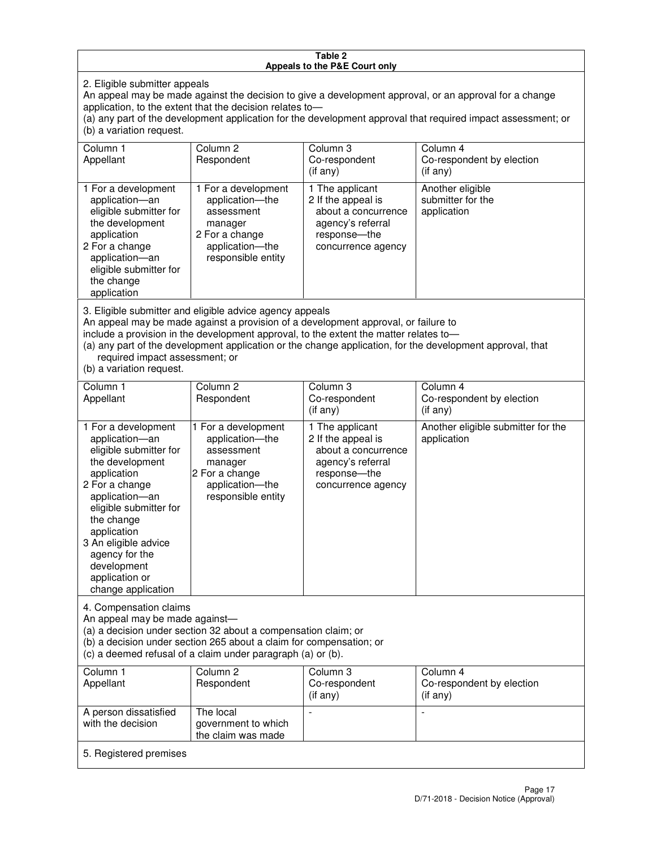#### **Table 2 Appeals to the P&E Court only**

2. Eligible submitter appeals

An appeal may be made against the decision to give a development approval, or an approval for a change application, to the extent that the decision relates to—

(a) any part of the development application for the development approval that required impact assessment; or (b) a variation request.

| Column 1<br>Appellant                                                                                                                                                                        | Column 2<br>Respondent                                                                                                                                                                                                                  | Column 3<br>Co-respondent<br>(if any)                                                                                     | Column 4<br>Co-respondent by election<br>(i f an y)                                                       |
|----------------------------------------------------------------------------------------------------------------------------------------------------------------------------------------------|-----------------------------------------------------------------------------------------------------------------------------------------------------------------------------------------------------------------------------------------|---------------------------------------------------------------------------------------------------------------------------|-----------------------------------------------------------------------------------------------------------|
| 1 For a development<br>application-an<br>eligible submitter for<br>the development<br>application<br>2 For a change<br>application-an<br>eligible submitter for<br>the change<br>application | 1 For a development<br>application-the<br>assessment<br>manager<br>2 For a change<br>application-the<br>responsible entity                                                                                                              | 1 The applicant<br>2 If the appeal is<br>about a concurrence<br>agency's referral<br>response---the<br>concurrence agency | Another eligible<br>submitter for the<br>application                                                      |
| required impact assessment; or<br>(b) a variation request.                                                                                                                                   | 3. Eligible submitter and eligible advice agency appeals<br>An appeal may be made against a provision of a development approval, or failure to<br>include a provision in the development approval, to the extent the matter relates to- |                                                                                                                           | (a) any part of the development application or the change application, for the development approval, that |
| Column 1                                                                                                                                                                                     | Column <sub>2</sub>                                                                                                                                                                                                                     | Column 3                                                                                                                  | Column 4                                                                                                  |
| Appellant                                                                                                                                                                                    | Respondent                                                                                                                                                                                                                              | Co-respondent<br>(if any)                                                                                                 | Co-respondent by election<br>(i f any)                                                                    |
| 1 For a development<br>application-an<br>eligible submitter for<br>the development<br>application<br>2 For a change                                                                          | 1 For a development<br>application-the<br>assessment<br>manager<br>2 For a change<br>application-the                                                                                                                                    | 1 The applicant<br>2 If the appeal is<br>about a concurrence<br>agency's referral<br>response---the<br>concurrence agency | Another eligible submitter for the<br>application                                                         |

An appeal may be made against—

application—an eligible submitter for

4. Compensation claims

the change application 3 An eligible advice agency for the development application or change application

(a) a decision under section 32 about a compensation claim; or

(b) a decision under section 265 about a claim for compensation; or

responsible entity

(c) a deemed refusal of a claim under paragraph (a) or (b).

| Column 1<br>Appellant                      | Column 2<br>Respondent                                 | Column 3<br>Co-respondent<br>(if any) | Column 4<br>Co-respondent by election<br>(if any) |
|--------------------------------------------|--------------------------------------------------------|---------------------------------------|---------------------------------------------------|
| A person dissatisfied<br>with the decision | The local<br>government to which<br>the claim was made |                                       |                                                   |
| 5. Registered premises                     |                                                        |                                       |                                                   |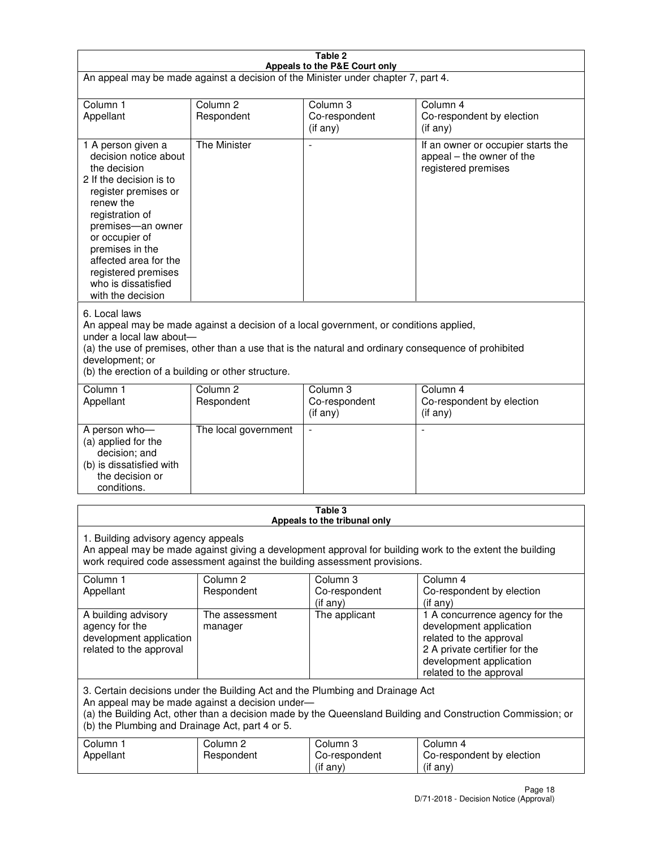| Table 2                                                                                                                                                                                                                                                                                                              |                                   |                                                                           |                                                                                                                                                                             |
|----------------------------------------------------------------------------------------------------------------------------------------------------------------------------------------------------------------------------------------------------------------------------------------------------------------------|-----------------------------------|---------------------------------------------------------------------------|-----------------------------------------------------------------------------------------------------------------------------------------------------------------------------|
| Appeals to the P&E Court only<br>An appeal may be made against a decision of the Minister under chapter 7, part 4.                                                                                                                                                                                                   |                                   |                                                                           |                                                                                                                                                                             |
| Column 1                                                                                                                                                                                                                                                                                                             | Column <sub>2</sub>               | Column <sub>3</sub>                                                       | Column 4                                                                                                                                                                    |
| Appellant                                                                                                                                                                                                                                                                                                            | Respondent                        | Co-respondent<br>$($ if any $)$                                           | Co-respondent by election<br>(if any)                                                                                                                                       |
| 1 A person given a<br>decision notice about<br>the decision<br>2 If the decision is to<br>register premises or<br>renew the<br>registration of<br>premises-an owner<br>or occupier of<br>premises in the<br>affected area for the<br>registered premises<br>who is dissatisfied<br>with the decision                 | <b>The Minister</b>               | ÷,                                                                        | If an owner or occupier starts the<br>appeal – the owner of the<br>registered premises                                                                                      |
| 6. Local laws<br>An appeal may be made against a decision of a local government, or conditions applied,<br>under a local law about-<br>(a) the use of premises, other than a use that is the natural and ordinary consequence of prohibited<br>development; or<br>(b) the erection of a building or other structure. |                                   |                                                                           |                                                                                                                                                                             |
| Column 1<br>Appellant                                                                                                                                                                                                                                                                                                | Column 2<br>Respondent            | Column 3<br>Co-respondent<br>(if any)                                     | Column 4<br>Co-respondent by election<br>(if any)                                                                                                                           |
| A person who-<br>(a) applied for the<br>decision; and<br>(b) is dissatisfied with<br>the decision or<br>conditions.                                                                                                                                                                                                  | The local government              |                                                                           |                                                                                                                                                                             |
|                                                                                                                                                                                                                                                                                                                      |                                   | Table 3<br>Appeals to the tribunal only                                   |                                                                                                                                                                             |
| 1. Building advisory agency appeals                                                                                                                                                                                                                                                                                  |                                   | work required code assessment against the building assessment provisions. | An appeal may be made against giving a development approval for building work to the extent the building                                                                    |
| Column 1<br>Appellant                                                                                                                                                                                                                                                                                                | Column <sub>2</sub><br>Respondent | Column 3<br>Co-respondent<br>(if any)                                     | Column 4<br>Co-respondent by election<br>(if any)                                                                                                                           |
| A building advisory<br>agency for the<br>development application<br>related to the approval                                                                                                                                                                                                                          | The assessment<br>manager         | The applicant                                                             | 1 A concurrence agency for the<br>development application<br>related to the approval<br>2 A private certifier for the<br>development application<br>related to the approval |
| 3. Certain decisions under the Building Act and the Plumbing and Drainage Act<br>An appeal may be made against a decision under-<br>(a) the Building Act, other than a decision made by the Queensland Building and Construction Commission; or<br>(b) the Plumbing and Drainage Act, part 4 or 5.                   |                                   |                                                                           |                                                                                                                                                                             |
| Column 1<br>Appellant                                                                                                                                                                                                                                                                                                | Column <sub>2</sub><br>Respondent | Column 3<br>Co-respondent<br>(if any)                                     | Column 4<br>Co-respondent by election<br>(if any)                                                                                                                           |